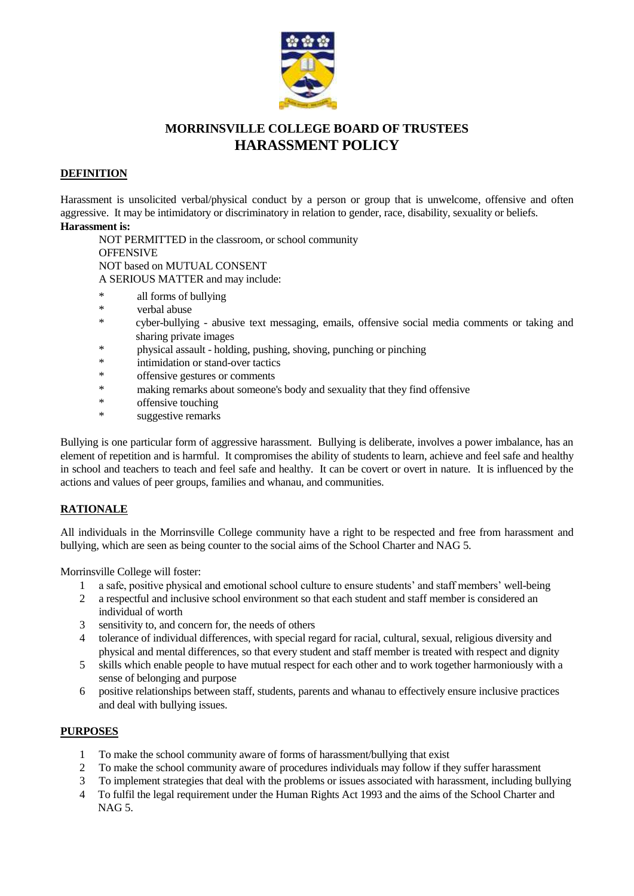

# **MORRINSVILLE COLLEGE BOARD OF TRUSTEES HARASSMENT POLICY**

# **DEFINITION**

Harassment is unsolicited verbal/physical conduct by a person or group that is unwelcome, offensive and often aggressive. It may be intimidatory or discriminatory in relation to gender, race, disability, sexuality or beliefs. **Harassment is:**

NOT PERMITTED in the classroom, or school community **OFFENSIVE** NOT based on MUTUAL CONSENT A SERIOUS MATTER and may include:

- \* all forms of bullying<br>\* verbal abuse
- \* verbal abuse
- \* cyber-bullying abusive text messaging, emails, offensive social media comments or taking and sharing private images
- \* physical assault holding, pushing, shoving, punching or pinching
- intimidation or stand-over tactics
- \* offensive gestures or comments
- \* making remarks about someone's body and sexuality that they find offensive
- offensive touching
- \* suggestive remarks

Bullying is one particular form of aggressive harassment. Bullying is deliberate, involves a power imbalance, has an element of repetition and is harmful. It compromises the ability of students to learn, achieve and feel safe and healthy in school and teachers to teach and feel safe and healthy. It can be covert or overt in nature. It is influenced by the actions and values of peer groups, families and whanau, and communities.

# **RATIONALE**

All individuals in the Morrinsville College community have a right to be respected and free from harassment and bullying, which are seen as being counter to the social aims of the School Charter and NAG 5.

Morrinsville College will foster:

- 1 a safe, positive physical and emotional school culture to ensure students' and staff members' well-being
- 2 a respectful and inclusive school environment so that each student and staff member is considered an individual of worth
- 3 sensitivity to, and concern for, the needs of others
- 4 tolerance of individual differences, with special regard for racial, cultural, sexual, religious diversity and physical and mental differences, so that every student and staff member is treated with respect and dignity
- 5 skills which enable people to have mutual respect for each other and to work together harmoniously with a sense of belonging and purpose
- 6 positive relationships between staff, students, parents and whanau to effectively ensure inclusive practices and deal with bullying issues.

# **PURPOSES**

- 1 To make the school community aware of forms of harassment/bullying that exist
- 2 To make the school community aware of procedures individuals may follow if they suffer harassment
- 3 To implement strategies that deal with the problems or issues associated with harassment, including bullying
- 4 To fulfil the legal requirement under the Human Rights Act 1993 and the aims of the School Charter and NAG 5.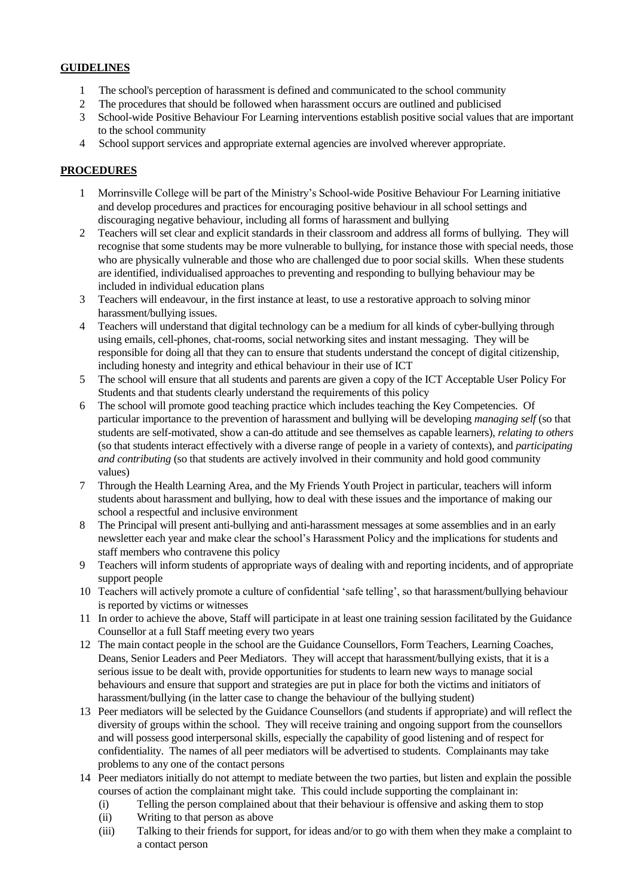# **GUIDELINES**

- 1 The school's perception of harassment is defined and communicated to the school community
- 2 The procedures that should be followed when harassment occurs are outlined and publicised
- 3 School-wide Positive Behaviour For Learning interventions establish positive social values that are important to the school community
- 4 School support services and appropriate external agencies are involved wherever appropriate.

#### **PROCEDURES**

- 1 Morrinsville College will be part of the Ministry's School-wide Positive Behaviour For Learning initiative and develop procedures and practices for encouraging positive behaviour in all school settings and discouraging negative behaviour, including all forms of harassment and bullying
- 2 Teachers will set clear and explicit standards in their classroom and address all forms of bullying. They will recognise that some students may be more vulnerable to bullying, for instance those with special needs, those who are physically vulnerable and those who are challenged due to poor social skills. When these students are identified, individualised approaches to preventing and responding to bullying behaviour may be included in individual education plans
- 3 Teachers will endeavour, in the first instance at least, to use a restorative approach to solving minor harassment/bullying issues.
- 4 Teachers will understand that digital technology can be a medium for all kinds of cyber-bullying through using emails, cell-phones, chat-rooms, social networking sites and instant messaging. They will be responsible for doing all that they can to ensure that students understand the concept of digital citizenship, including honesty and integrity and ethical behaviour in their use of ICT
- 5 The school will ensure that all students and parents are given a copy of the ICT Acceptable User Policy For Students and that students clearly understand the requirements of this policy
- 6 The school will promote good teaching practice which includes teaching the Key Competencies. Of particular importance to the prevention of harassment and bullying will be developing *managing self* (so that students are self-motivated, show a can-do attitude and see themselves as capable learners), *relating to others* (so that students interact effectively with a diverse range of people in a variety of contexts), and *participating and contributing* (so that students are actively involved in their community and hold good community values)
- 7 Through the Health Learning Area, and the My Friends Youth Project in particular, teachers will inform students about harassment and bullying, how to deal with these issues and the importance of making our school a respectful and inclusive environment
- 8 The Principal will present anti-bullying and anti-harassment messages at some assemblies and in an early newsletter each year and make clear the school's Harassment Policy and the implications for students and staff members who contravene this policy
- 9 Teachers will inform students of appropriate ways of dealing with and reporting incidents, and of appropriate support people
- 10 Teachers will actively promote a culture of confidential 'safe telling', so that harassment/bullying behaviour is reported by victims or witnesses
- 11 In order to achieve the above, Staff will participate in at least one training session facilitated by the Guidance Counsellor at a full Staff meeting every two years
- 12 The main contact people in the school are the Guidance Counsellors, Form Teachers, Learning Coaches, Deans, Senior Leaders and Peer Mediators. They will accept that harassment/bullying exists, that it is a serious issue to be dealt with, provide opportunities for students to learn new ways to manage social behaviours and ensure that support and strategies are put in place for both the victims and initiators of harassment/bullying (in the latter case to change the behaviour of the bullying student)
- 13 Peer mediators will be selected by the Guidance Counsellors (and students if appropriate) and will reflect the diversity of groups within the school. They will receive training and ongoing support from the counsellors and will possess good interpersonal skills, especially the capability of good listening and of respect for confidentiality. The names of all peer mediators will be advertised to students. Complainants may take problems to any one of the contact persons
- 14 Peer mediators initially do not attempt to mediate between the two parties, but listen and explain the possible courses of action the complainant might take. This could include supporting the complainant in:
	- (i) Telling the person complained about that their behaviour is offensive and asking them to stop
	- (ii) Writing to that person as above
	- (iii) Talking to their friends for support, for ideas and/or to go with them when they make a complaint to a contact person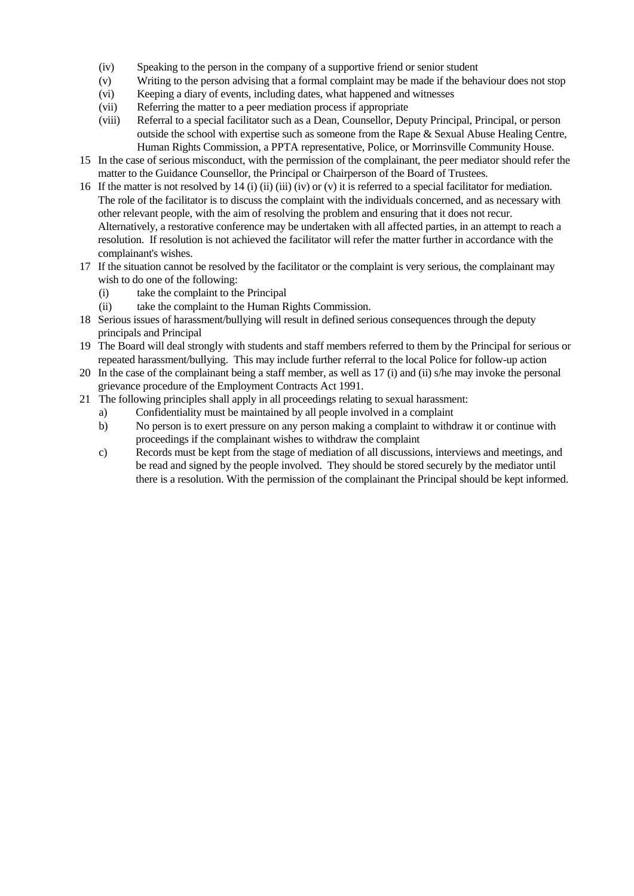- (iv) Speaking to the person in the company of a supportive friend or senior student
- (v) Writing to the person advising that a formal complaint may be made if the behaviour does not stop
- (vi) Keeping a diary of events, including dates, what happened and witnesses
- (vii) Referring the matter to a peer mediation process if appropriate
- (viii) Referral to a special facilitator such as a Dean, Counsellor, Deputy Principal, Principal, or person outside the school with expertise such as someone from the Rape & Sexual Abuse Healing Centre, Human Rights Commission, a PPTA representative, Police, or Morrinsville Community House.
- 15 In the case of serious misconduct, with the permission of the complainant, the peer mediator should refer the matter to the Guidance Counsellor, the Principal or Chairperson of the Board of Trustees.
- 16 If the matter is not resolved by 14 (i) (ii) (iii) (iv) or (v) it is referred to a special facilitator for mediation. The role of the facilitator is to discuss the complaint with the individuals concerned, and as necessary with other relevant people, with the aim of resolving the problem and ensuring that it does not recur. Alternatively, a restorative conference may be undertaken with all affected parties, in an attempt to reach a resolution. If resolution is not achieved the facilitator will refer the matter further in accordance with the complainant's wishes.
- 17 If the situation cannot be resolved by the facilitator or the complaint is very serious, the complainant may wish to do one of the following:
	- (i) take the complaint to the Principal
	- (ii) take the complaint to the Human Rights Commission.
- 18 Serious issues of harassment/bullying will result in defined serious consequences through the deputy principals and Principal
- 19 The Board will deal strongly with students and staff members referred to them by the Principal for serious or repeated harassment/bullying. This may include further referral to the local Police for follow-up action
- 20 In the case of the complainant being a staff member, as well as 17 (i) and (ii) s/he may invoke the personal grievance procedure of the Employment Contracts Act 1991.
- 21 The following principles shall apply in all proceedings relating to sexual harassment:
	- a) Confidentiality must be maintained by all people involved in a complaint
	- b) No person is to exert pressure on any person making a complaint to withdraw it or continue with proceedings if the complainant wishes to withdraw the complaint
	- c) Records must be kept from the stage of mediation of all discussions, interviews and meetings, and be read and signed by the people involved. They should be stored securely by the mediator until there is a resolution. With the permission of the complainant the Principal should be kept informed.